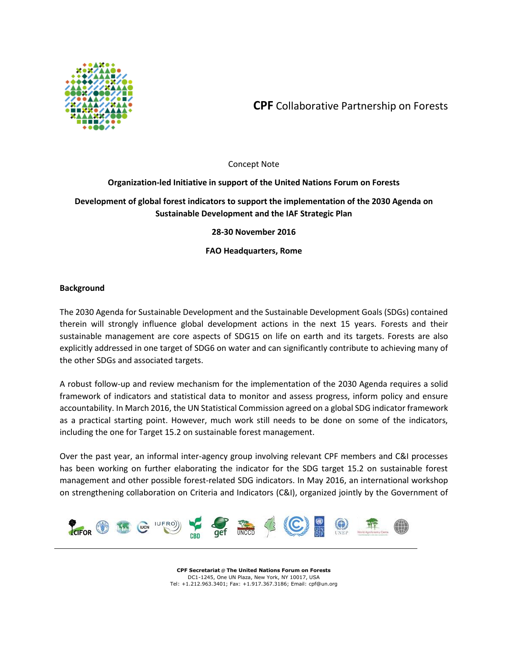

**CPF** Collaborative Partnership on Forests

## Concept Note

# **Organization-led Initiative in support of the United Nations Forum on Forests**

# **Development of global forest indicators to support the implementation of the 2030 Agenda on Sustainable Development and the IAF Strategic Plan**

**28-30 November 2016**

**FAO Headquarters, Rome**

## **Background**

The 2030 Agenda for Sustainable Development and the Sustainable Development Goals (SDGs) contained therein will strongly influence global development actions in the next 15 years. Forests and their sustainable management are core aspects of SDG15 on life on earth and its targets. Forests are also explicitly addressed in one target of SDG6 on water and can significantly contribute to achieving many of the other SDGs and associated targets.

A robust follow-up and review mechanism for the implementation of the 2030 Agenda requires a solid framework of indicators and statistical data to monitor and assess progress, inform policy and ensure accountability. In March 2016, the UN Statistical Commission agreed on a global SDG indicator framework as a practical starting point. However, much work still needs to be done on some of the indicators, including the one for Target 15.2 on sustainable forest management.

Over the past year, an informal inter-agency group involving relevant CPF members and C&I processes has been working on further elaborating the indicator for the SDG target 15.2 on sustainable forest management and other possible forest-related SDG indicators. In May 2016, an international workshop on strengthening collaboration on Criteria and Indicators (C&I), organized jointly by the Government of



**CPF Secretariat** @ **The United Nations Forum on Forests**  DC1-1245, One UN Plaza, New York, NY 10017, USA Tel: +1.212.963.3401; Fax: +1.917.367.3186; Email: cpf@un.org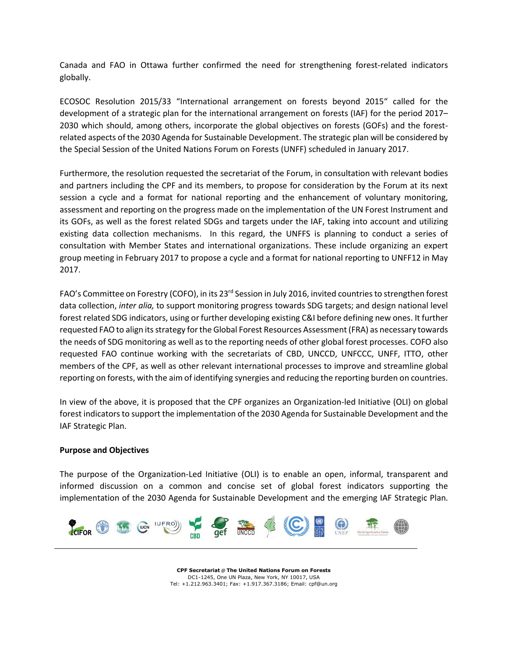Canada and FAO in Ottawa further confirmed the need for strengthening forest-related indicators globally.

ECOSOC Resolution 2015/33 "International arrangement on forests beyond 2015" called for the development of a strategic plan for the international arrangement on forests (IAF) for the period 2017– 2030 which should, among others, incorporate the global objectives on forests (GOFs) and the forestrelated aspects of the 2030 Agenda for Sustainable Development. The strategic plan will be considered by the Special Session of the United Nations Forum on Forests (UNFF) scheduled in January 2017.

Furthermore, the resolution requested the secretariat of the Forum, in consultation with relevant bodies and partners including the CPF and its members, to propose for consideration by the Forum at its next session a cycle and a format for national reporting and the enhancement of voluntary monitoring, assessment and reporting on the progress made on the implementation of the UN Forest Instrument and its GOFs, as well as the forest related SDGs and targets under the IAF, taking into account and utilizing existing data collection mechanisms. In this regard, the UNFFS is planning to conduct a series of consultation with Member States and international organizations. These include organizing an expert group meeting in February 2017 to propose a cycle and a format for national reporting to UNFF12 in May 2017.

FAO's Committee on Forestry (COFO), in its 23rd Session in July 2016, invited countries to strengthen forest data collection, *inter alia,* to support monitoring progress towards SDG targets; and design national level forest related SDG indicators, using or further developing existing C&I before defining new ones. It further requested FAO to align its strategy for the Global Forest Resources Assessment (FRA) as necessary towards the needs of SDG monitoring as well as to the reporting needs of other global forest processes. COFO also requested FAO continue working with the secretariats of CBD, UNCCD, UNFCCC, UNFF, ITTO, other members of the CPF, as well as other relevant international processes to improve and streamline global reporting on forests, with the aim of identifying synergies and reducing the reporting burden on countries.

In view of the above, it is proposed that the CPF organizes an Organization-led Initiative (OLI) on global forest indicators to support the implementation of the 2030 Agenda for Sustainable Development and the IAF Strategic Plan.

## **Purpose and Objectives**

The purpose of the Organization-Led Initiative (OLI) is to enable an open, informal, transparent and informed discussion on a common and concise set of global forest indicators supporting the implementation of the 2030 Agenda for Sustainable Development and the emerging IAF Strategic Plan.



**CPF Secretariat** @ **The United Nations Forum on Forests**  DC1-1245, One UN Plaza, New York, NY 10017, USA Tel: +1.212.963.3401; Fax: +1.917.367.3186; Email: cpf@un.org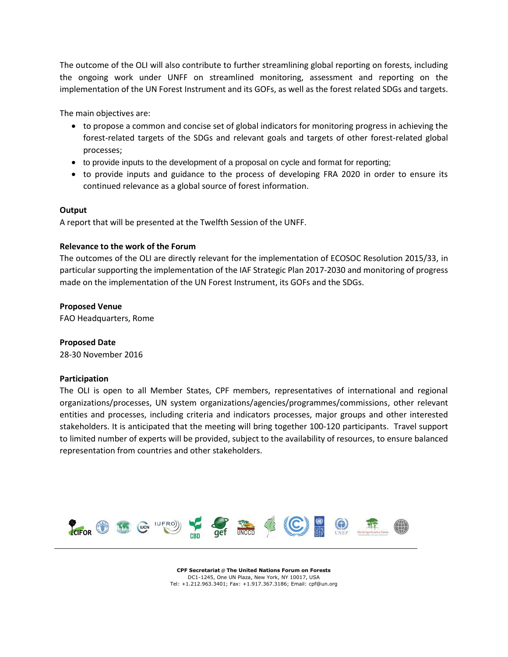The outcome of the OLI will also contribute to further streamlining global reporting on forests, including the ongoing work under UNFF on streamlined monitoring, assessment and reporting on the implementation of the UN Forest Instrument and its GOFs, as well as the forest related SDGs and targets.

The main objectives are:

- to propose a common and concise set of global indicators for monitoring progress in achieving the forest-related targets of the SDGs and relevant goals and targets of other forest-related global processes;
- to provide inputs to the development of a proposal on cycle and format for reporting;
- to provide inputs and guidance to the process of developing FRA 2020 in order to ensure its continued relevance as a global source of forest information.

### **Output**

A report that will be presented at the Twelfth Session of the UNFF.

### **Relevance to the work of the Forum**

The outcomes of the OLI are directly relevant for the implementation of ECOSOC Resolution 2015/33, in particular supporting the implementation of the IAF Strategic Plan 2017-2030 and monitoring of progress made on the implementation of the UN Forest Instrument, its GOFs and the SDGs.

### **Proposed Venue**

FAO Headquarters, Rome

## **Proposed Date**

28-30 November 2016

#### **Participation**

The OLI is open to all Member States, CPF members, representatives of international and regional organizations/processes, UN system organizations/agencies/programmes/commissions, other relevant entities and processes, including criteria and indicators processes, major groups and other interested stakeholders. It is anticipated that the meeting will bring together 100-120 participants. Travel support to limited number of experts will be provided, subject to the availability of resources, to ensure balanced representation from countries and other stakeholders.



**CPF Secretariat** @ **The United Nations Forum on Forests**  DC1-1245, One UN Plaza, New York, NY 10017, USA Tel: +1.212.963.3401; Fax: +1.917.367.3186; Email: cpf@un.org